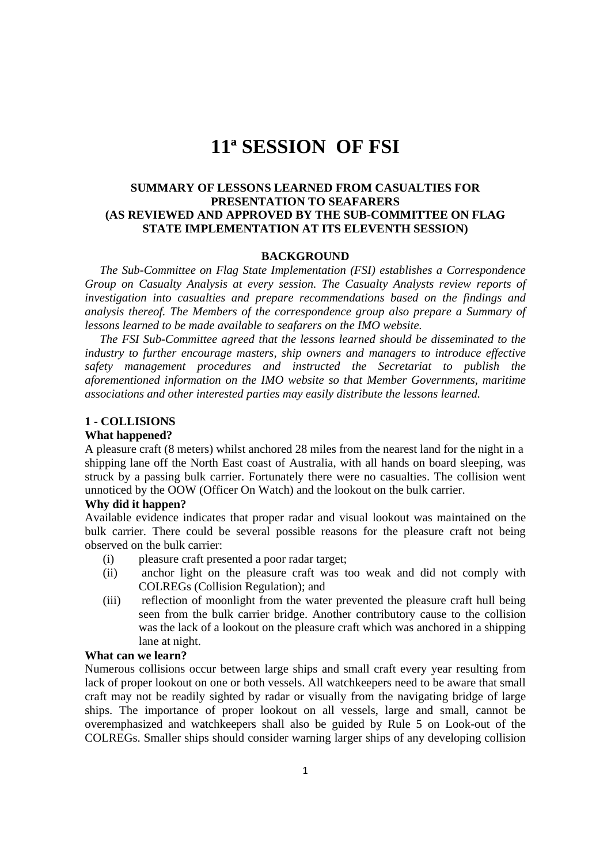# **11ª SESSION OF FSI**

## **SUMMARY OF LESSONS LEARNED FROM CASUALTIES FOR PRESENTATION TO SEAFARERS (AS REVIEWED AND APPROVED BY THE SUB-COMMITTEE ON FLAG STATE IMPLEMENTATION AT ITS ELEVENTH SESSION)**

#### **BACKGROUND**

 *The Sub-Committee on Flag State Implementation (FSI) establishes a Correspondence Group on Casualty Analysis at every session. The Casualty Analysts review reports of investigation into casualties and prepare recommendations based on the findings and analysis thereof. The Members of the correspondence group also prepare a Summary of lessons learned to be made available to seafarers on the IMO website.* 

 *The FSI Sub-Committee agreed that the lessons learned should be disseminated to the industry to further encourage masters, ship owners and managers to introduce effective safety management procedures and instructed the Secretariat to publish the aforementioned information on the IMO website so that Member Governments, maritime associations and other interested parties may easily distribute the lessons learned.* 

## **1 - COLLISIONS**

#### **What happened?**

A pleasure craft (8 meters) whilst anchored 28 miles from the nearest land for the night in a shipping lane off the North East coast of Australia, with all hands on board sleeping, was struck by a passing bulk carrier. Fortunately there were no casualties. The collision went unnoticed by the OOW (Officer On Watch) and the lookout on the bulk carrier.

## **Why did it happen?**

Available evidence indicates that proper radar and visual lookout was maintained on the bulk carrier. There could be several possible reasons for the pleasure craft not being observed on the bulk carrier:

- (i) pleasure craft presented a poor radar target;
- (ii) anchor light on the pleasure craft was too weak and did not comply with COLREGs (Collision Regulation); and
- (iii) reflection of moonlight from the water prevented the pleasure craft hull being seen from the bulk carrier bridge. Another contributory cause to the collision was the lack of a lookout on the pleasure craft which was anchored in a shipping lane at night.

## **What can we learn?**

Numerous collisions occur between large ships and small craft every year resulting from lack of proper lookout on one or both vessels. All watchkeepers need to be aware that small craft may not be readily sighted by radar or visually from the navigating bridge of large ships. The importance of proper lookout on all vessels, large and small, cannot be overemphasized and watchkeepers shall also be guided by Rule 5 on Look-out of the COLREGs. Smaller ships should consider warning larger ships of any developing collision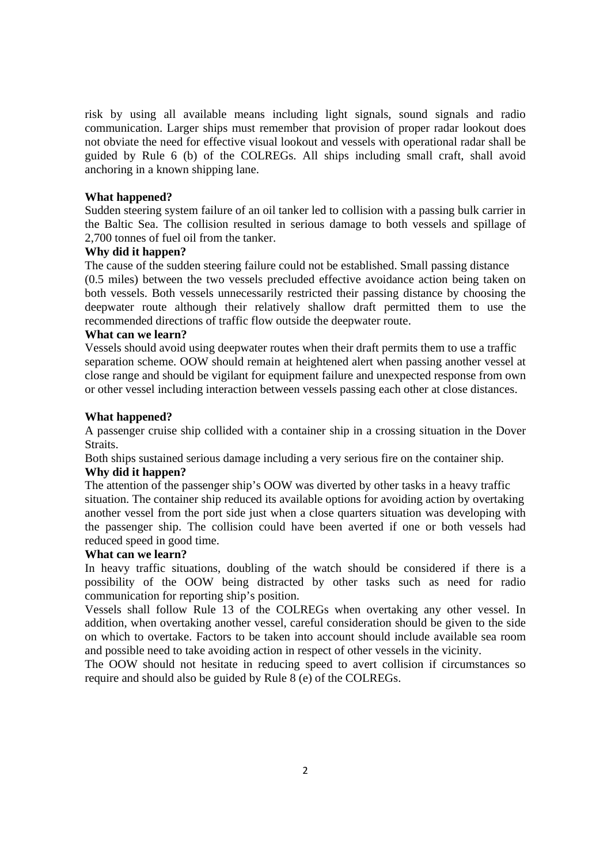risk by using all available means including light signals, sound signals and radio communication. Larger ships must remember that provision of proper radar lookout does not obviate the need for effective visual lookout and vessels with operational radar shall be guided by Rule 6 (b) of the COLREGs. All ships including small craft, shall avoid anchoring in a known shipping lane.

## **What happened?**

Sudden steering system failure of an oil tanker led to collision with a passing bulk carrier in the Baltic Sea. The collision resulted in serious damage to both vessels and spillage of 2,700 tonnes of fuel oil from the tanker.

## **Why did it happen?**

The cause of the sudden steering failure could not be established. Small passing distance (0.5 miles) between the two vessels precluded effective avoidance action being taken on both vessels. Both vessels unnecessarily restricted their passing distance by choosing the deepwater route although their relatively shallow draft permitted them to use the recommended directions of traffic flow outside the deepwater route.

#### **What can we learn?**

Vessels should avoid using deepwater routes when their draft permits them to use a traffic separation scheme. OOW should remain at heightened alert when passing another vessel at close range and should be vigilant for equipment failure and unexpected response from own or other vessel including interaction between vessels passing each other at close distances.

## **What happened?**

A passenger cruise ship collided with a container ship in a crossing situation in the Dover Straits.

Both ships sustained serious damage including a very serious fire on the container ship.

#### **Why did it happen?**

The attention of the passenger ship's OOW was diverted by other tasks in a heavy traffic situation. The container ship reduced its available options for avoiding action by overtaking another vessel from the port side just when a close quarters situation was developing with the passenger ship. The collision could have been averted if one or both vessels had reduced speed in good time.

## **What can we learn?**

In heavy traffic situations, doubling of the watch should be considered if there is a possibility of the OOW being distracted by other tasks such as need for radio communication for reporting ship's position.

Vessels shall follow Rule 13 of the COLREGs when overtaking any other vessel. In addition, when overtaking another vessel, careful consideration should be given to the side on which to overtake. Factors to be taken into account should include available sea room and possible need to take avoiding action in respect of other vessels in the vicinity.

The OOW should not hesitate in reducing speed to avert collision if circumstances so require and should also be guided by Rule 8 (e) of the COLREGs.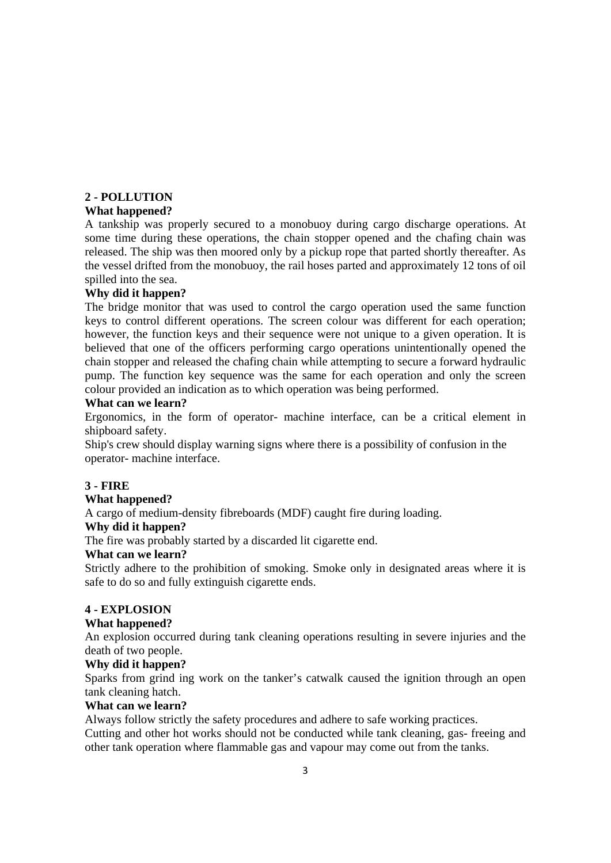# **2 - POLLUTION**

# **What happened?**

A tankship was properly secured to a monobuoy during cargo discharge operations. At some time during these operations, the chain stopper opened and the chafing chain was released. The ship was then moored only by a pickup rope that parted shortly thereafter. As the vessel drifted from the monobuoy, the rail hoses parted and approximately 12 tons of oil spilled into the sea.

# **Why did it happen?**

The bridge monitor that was used to control the cargo operation used the same function keys to control different operations. The screen colour was different for each operation; however, the function keys and their sequence were not unique to a given operation. It is believed that one of the officers performing cargo operations unintentionally opened the chain stopper and released the chafing chain while attempting to secure a forward hydraulic pump. The function key sequence was the same for each operation and only the screen colour provided an indication as to which operation was being performed.

## **What can we learn?**

Ergonomics, in the form of operator- machine interface, can be a critical element in shipboard safety.

Ship's crew should display warning signs where there is a possibility of confusion in the operator- machine interface.

# **3 - FIRE**

## **What happened?**

A cargo of medium-density fibreboards (MDF) caught fire during loading.

## **Why did it happen?**

The fire was probably started by a discarded lit cigarette end.

## **What can we learn?**

Strictly adhere to the prohibition of smoking. Smoke only in designated areas where it is safe to do so and fully extinguish cigarette ends.

# **4 - EXPLOSION**

# **What happened?**

An explosion occurred during tank cleaning operations resulting in severe injuries and the death of two people.

# **Why did it happen?**

Sparks from grind ing work on the tanker's catwalk caused the ignition through an open tank cleaning hatch.

## **What can we learn?**

Always follow strictly the safety procedures and adhere to safe working practices.

Cutting and other hot works should not be conducted while tank cleaning, gas- freeing and other tank operation where flammable gas and vapour may come out from the tanks.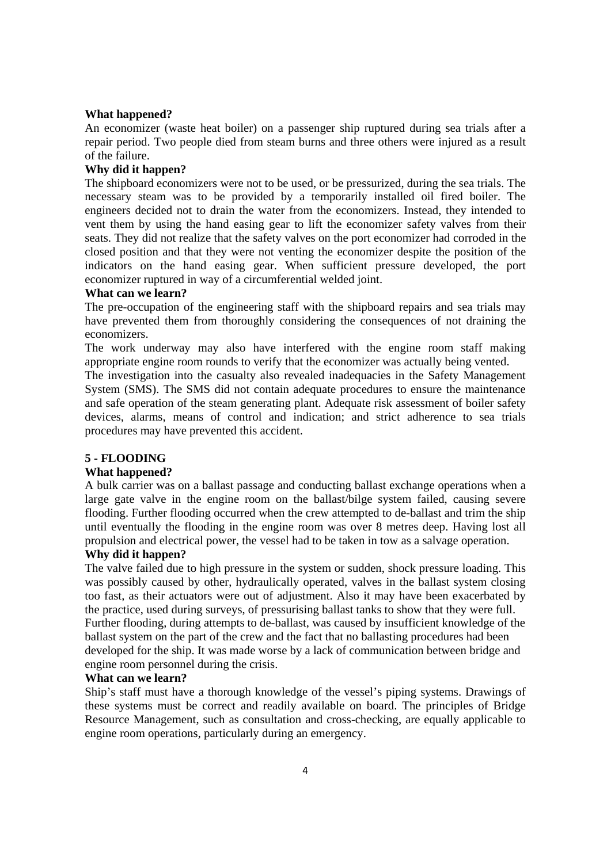#### **What happened?**

An economizer (waste heat boiler) on a passenger ship ruptured during sea trials after a repair period. Two people died from steam burns and three others were injured as a result of the failure.

#### **Why did it happen?**

The shipboard economizers were not to be used, or be pressurized, during the sea trials. The necessary steam was to be provided by a temporarily installed oil fired boiler. The engineers decided not to drain the water from the economizers. Instead, they intended to vent them by using the hand easing gear to lift the economizer safety valves from their seats. They did not realize that the safety valves on the port economizer had corroded in the closed position and that they were not venting the economizer despite the position of the indicators on the hand easing gear. When sufficient pressure developed, the port economizer ruptured in way of a circumferential welded joint.

#### **What can we learn?**

The pre-occupation of the engineering staff with the shipboard repairs and sea trials may have prevented them from thoroughly considering the consequences of not draining the economizers.

The work underway may also have interfered with the engine room staff making appropriate engine room rounds to verify that the economizer was actually being vented.

The investigation into the casualty also revealed inadequacies in the Safety Management System (SMS). The SMS did not contain adequate procedures to ensure the maintenance and safe operation of the steam generating plant. Adequate risk assessment of boiler safety devices, alarms, means of control and indication; and strict adherence to sea trials procedures may have prevented this accident.

#### **5 - FLOODING**

#### **What happened?**

A bulk carrier was on a ballast passage and conducting ballast exchange operations when a large gate valve in the engine room on the ballast/bilge system failed, causing severe flooding. Further flooding occurred when the crew attempted to de-ballast and trim the ship until eventually the flooding in the engine room was over 8 metres deep. Having lost all propulsion and electrical power, the vessel had to be taken in tow as a salvage operation.

# **Why did it happen?**

The valve failed due to high pressure in the system or sudden, shock pressure loading. This was possibly caused by other, hydraulically operated, valves in the ballast system closing too fast, as their actuators were out of adjustment. Also it may have been exacerbated by the practice, used during surveys, of pressurising ballast tanks to show that they were full. Further flooding, during attempts to de-ballast, was caused by insufficient knowledge of the ballast system on the part of the crew and the fact that no ballasting procedures had been developed for the ship. It was made worse by a lack of communication between bridge and engine room personnel during the crisis.

## **What can we learn?**

Ship's staff must have a thorough knowledge of the vessel's piping systems. Drawings of these systems must be correct and readily available on board. The principles of Bridge Resource Management, such as consultation and cross-checking, are equally applicable to engine room operations, particularly during an emergency.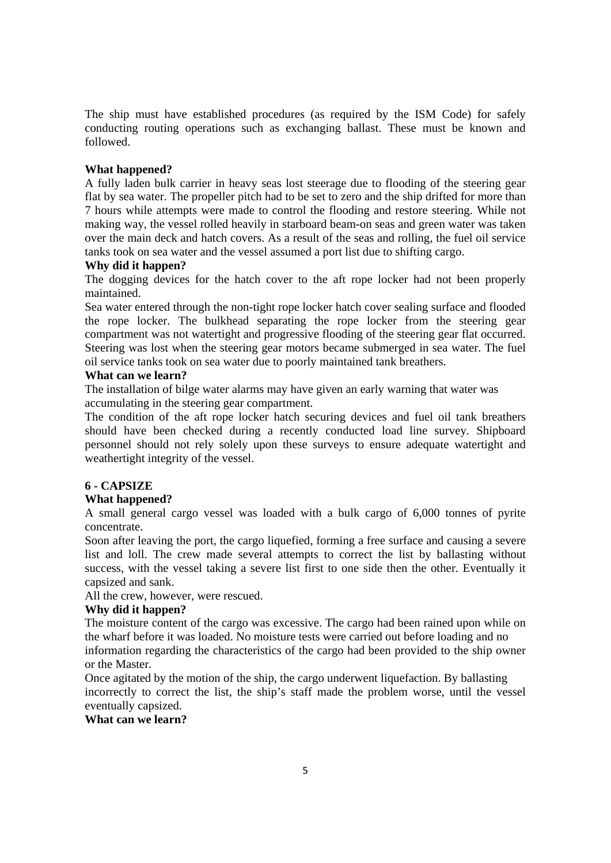The ship must have established procedures (as required by the ISM Code) for safely conducting routing operations such as exchanging ballast. These must be known and followed.

## **What happened?**

A fully laden bulk carrier in heavy seas lost steerage due to flooding of the steering gear flat by sea water. The propeller pitch had to be set to zero and the ship drifted for more than 7 hours while attempts were made to control the flooding and restore steering. While not making way, the vessel rolled heavily in starboard beam-on seas and green water was taken over the main deck and hatch covers. As a result of the seas and rolling, the fuel oil service tanks took on sea water and the vessel assumed a port list due to shifting cargo.

#### **Why did it happen?**

The dogging devices for the hatch cover to the aft rope locker had not been properly maintained.

Sea water entered through the non-tight rope locker hatch cover sealing surface and flooded the rope locker. The bulkhead separating the rope locker from the steering gear compartment was not watertight and progressive flooding of the steering gear flat occurred. Steering was lost when the steering gear motors became submerged in sea water. The fuel oil service tanks took on sea water due to poorly maintained tank breathers.

# **What can we learn?**

The installation of bilge water alarms may have given an early warning that water was accumulating in the steering gear compartment.

The condition of the aft rope locker hatch securing devices and fuel oil tank breathers should have been checked during a recently conducted load line survey. Shipboard personnel should not rely solely upon these surveys to ensure adequate watertight and weathertight integrity of the vessel.

## **6 - CAPSIZE**

## **What happened?**

A small general cargo vessel was loaded with a bulk cargo of 6,000 tonnes of pyrite concentrate.

Soon after leaving the port, the cargo liquefied, forming a free surface and causing a severe list and loll. The crew made several attempts to correct the list by ballasting without success, with the vessel taking a severe list first to one side then the other. Eventually it capsized and sank.

All the crew, however, were rescued.

## **Why did it happen?**

The moisture content of the cargo was excessive. The cargo had been rained upon while on the wharf before it was loaded. No moisture tests were carried out before loading and no information regarding the characteristics of the cargo had been provided to the ship owner or the Master.

Once agitated by the motion of the ship, the cargo underwent liquefaction. By ballasting incorrectly to correct the list, the ship's staff made the problem worse, until the vessel eventually capsized.

# **What can we learn?**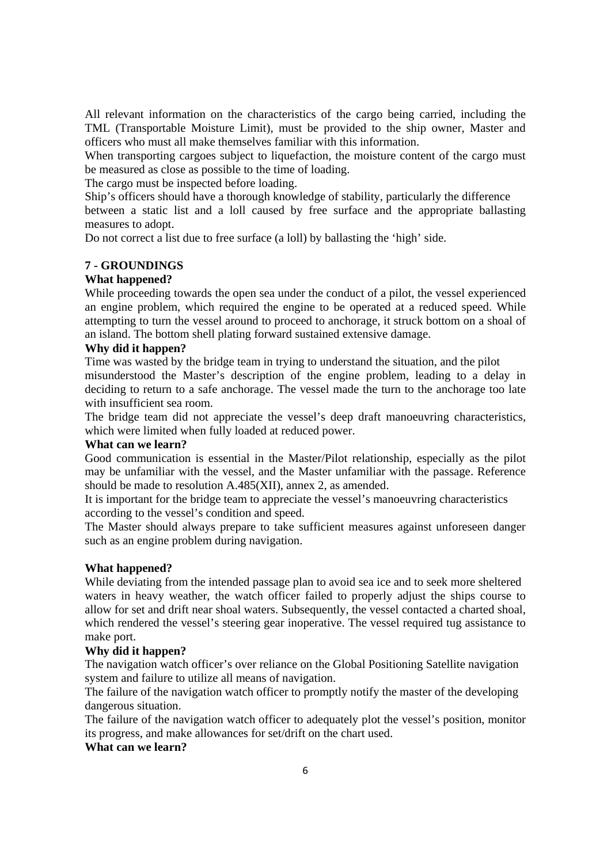All relevant information on the characteristics of the cargo being carried, including the TML (Transportable Moisture Limit), must be provided to the ship owner, Master and officers who must all make themselves familiar with this information.

When transporting cargoes subject to liquefaction, the moisture content of the cargo must be measured as close as possible to the time of loading.

The cargo must be inspected before loading.

Ship's officers should have a thorough knowledge of stability, particularly the difference between a static list and a loll caused by free surface and the appropriate ballasting measures to adopt.

Do not correct a list due to free surface (a loll) by ballasting the 'high' side.

## **7 - GROUNDINGS**

## **What happened?**

While proceeding towards the open sea under the conduct of a pilot, the vessel experienced an engine problem, which required the engine to be operated at a reduced speed. While attempting to turn the vessel around to proceed to anchorage, it struck bottom on a shoal of an island. The bottom shell plating forward sustained extensive damage.

#### **Why did it happen?**

Time was wasted by the bridge team in trying to understand the situation, and the pilot misunderstood the Master's description of the engine problem, leading to a delay in deciding to return to a safe anchorage. The vessel made the turn to the anchorage too late with insufficient sea room.

The bridge team did not appreciate the vessel's deep draft manoeuvring characteristics, which were limited when fully loaded at reduced power.

## **What can we learn?**

Good communication is essential in the Master/Pilot relationship, especially as the pilot may be unfamiliar with the vessel, and the Master unfamiliar with the passage. Reference should be made to resolution A.485(XII), annex 2, as amended.

It is important for the bridge team to appreciate the vessel's manoeuvring characteristics according to the vessel's condition and speed.

The Master should always prepare to take sufficient measures against unforeseen danger such as an engine problem during navigation.

#### **What happened?**

While deviating from the intended passage plan to avoid sea ice and to seek more sheltered waters in heavy weather, the watch officer failed to properly adjust the ships course to allow for set and drift near shoal waters. Subsequently, the vessel contacted a charted shoal, which rendered the vessel's steering gear inoperative. The vessel required tug assistance to make port.

#### **Why did it happen?**

The navigation watch officer's over reliance on the Global Positioning Satellite navigation system and failure to utilize all means of navigation.

The failure of the navigation watch officer to promptly notify the master of the developing dangerous situation.

The failure of the navigation watch officer to adequately plot the vessel's position, monitor its progress, and make allowances for set/drift on the chart used.

## **What can we learn?**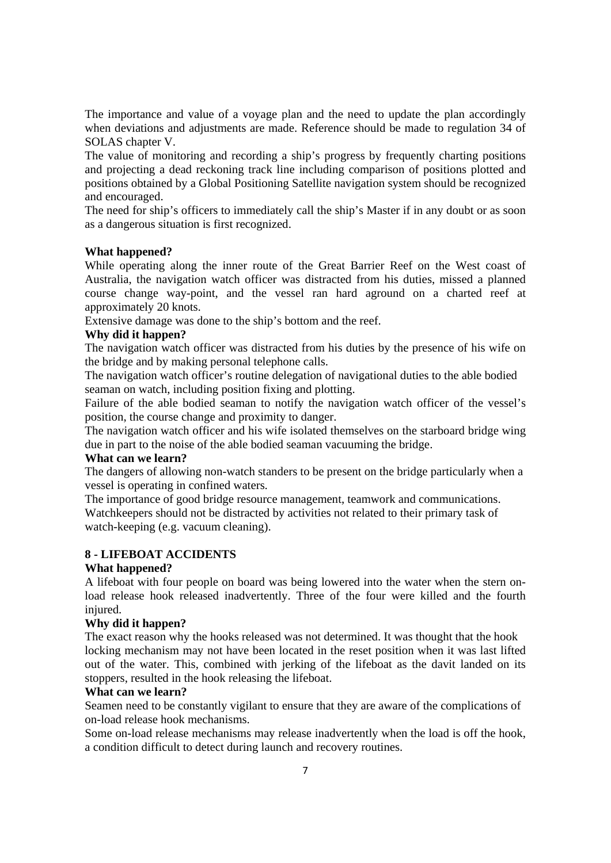The importance and value of a voyage plan and the need to update the plan accordingly when deviations and adjustments are made. Reference should be made to regulation 34 of SOLAS chapter V.

The value of monitoring and recording a ship's progress by frequently charting positions and projecting a dead reckoning track line including comparison of positions plotted and positions obtained by a Global Positioning Satellite navigation system should be recognized and encouraged.

The need for ship's officers to immediately call the ship's Master if in any doubt or as soon as a dangerous situation is first recognized.

#### **What happened?**

While operating along the inner route of the Great Barrier Reef on the West coast of Australia, the navigation watch officer was distracted from his duties, missed a planned course change way-point, and the vessel ran hard aground on a charted reef at approximately 20 knots.

Extensive damage was done to the ship's bottom and the reef.

## **Why did it happen?**

The navigation watch officer was distracted from his duties by the presence of his wife on the bridge and by making personal telephone calls.

The navigation watch officer's routine delegation of navigational duties to the able bodied seaman on watch, including position fixing and plotting.

Failure of the able bodied seaman to notify the navigation watch officer of the vessel's position, the course change and proximity to danger.

The navigation watch officer and his wife isolated themselves on the starboard bridge wing due in part to the noise of the able bodied seaman vacuuming the bridge.

#### **What can we learn?**

The dangers of allowing non-watch standers to be present on the bridge particularly when a vessel is operating in confined waters.

The importance of good bridge resource management, teamwork and communications. Watchkeepers should not be distracted by activities not related to their primary task of watch-keeping (e.g. vacuum cleaning).

# **8 - LIFEBOAT ACCIDENTS**

#### **What happened?**

A lifeboat with four people on board was being lowered into the water when the stern onload release hook released inadvertently. Three of the four were killed and the fourth injured.

#### **Why did it happen?**

The exact reason why the hooks released was not determined. It was thought that the hook locking mechanism may not have been located in the reset position when it was last lifted out of the water. This, combined with jerking of the lifeboat as the davit landed on its stoppers, resulted in the hook releasing the lifeboat.

### **What can we learn?**

Seamen need to be constantly vigilant to ensure that they are aware of the complications of on-load release hook mechanisms.

Some on-load release mechanisms may release inadvertently when the load is off the hook, a condition difficult to detect during launch and recovery routines.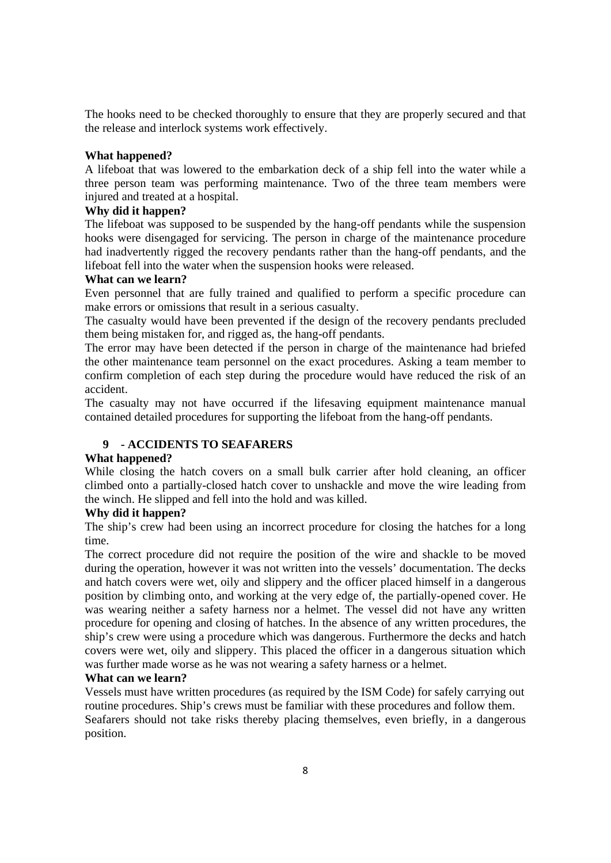The hooks need to be checked thoroughly to ensure that they are properly secured and that the release and interlock systems work effectively.

## **What happened?**

A lifeboat that was lowered to the embarkation deck of a ship fell into the water while a three person team was performing maintenance. Two of the three team members were injured and treated at a hospital.

## **Why did it happen?**

The lifeboat was supposed to be suspended by the hang-off pendants while the suspension hooks were disengaged for servicing. The person in charge of the maintenance procedure had inadvertently rigged the recovery pendants rather than the hang-off pendants, and the lifeboat fell into the water when the suspension hooks were released.

#### **What can we learn?**

Even personnel that are fully trained and qualified to perform a specific procedure can make errors or omissions that result in a serious casualty.

The casualty would have been prevented if the design of the recovery pendants precluded them being mistaken for, and rigged as, the hang-off pendants.

The error may have been detected if the person in charge of the maintenance had briefed the other maintenance team personnel on the exact procedures. Asking a team member to confirm completion of each step during the procedure would have reduced the risk of an accident.

The casualty may not have occurred if the lifesaving equipment maintenance manual contained detailed procedures for supporting the lifeboat from the hang-off pendants.

# **9 - ACCIDENTS TO SEAFARERS**

#### **What happened?**

While closing the hatch covers on a small bulk carrier after hold cleaning, an officer climbed onto a partially-closed hatch cover to unshackle and move the wire leading from the winch. He slipped and fell into the hold and was killed.

#### **Why did it happen?**

The ship's crew had been using an incorrect procedure for closing the hatches for a long time.

The correct procedure did not require the position of the wire and shackle to be moved during the operation, however it was not written into the vessels' documentation. The decks and hatch covers were wet, oily and slippery and the officer placed himself in a dangerous position by climbing onto, and working at the very edge of, the partially-opened cover. He was wearing neither a safety harness nor a helmet. The vessel did not have any written procedure for opening and closing of hatches. In the absence of any written procedures, the ship's crew were using a procedure which was dangerous. Furthermore the decks and hatch covers were wet, oily and slippery. This placed the officer in a dangerous situation which was further made worse as he was not wearing a safety harness or a helmet.

## **What can we learn?**

Vessels must have written procedures (as required by the ISM Code) for safely carrying out routine procedures. Ship's crews must be familiar with these procedures and follow them. Seafarers should not take risks thereby placing themselves, even briefly, in a dangerous position.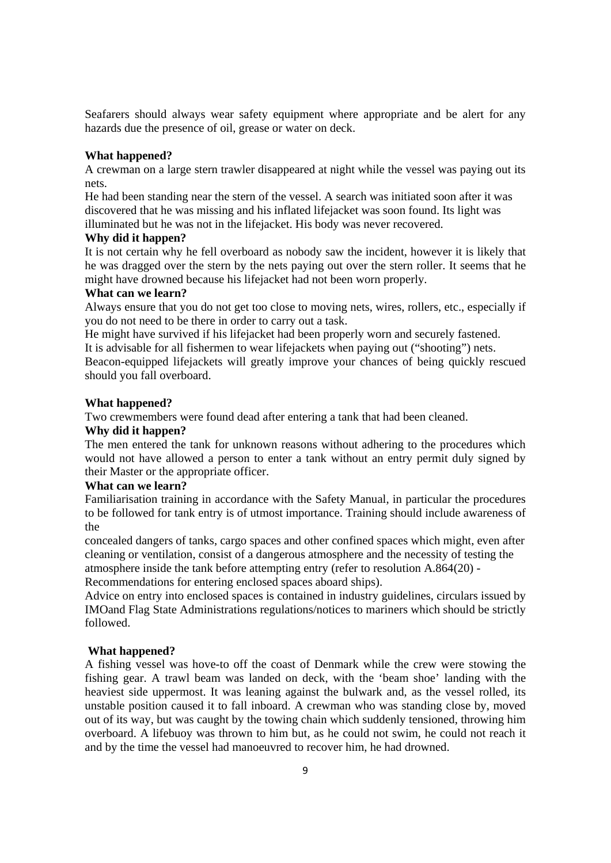Seafarers should always wear safety equipment where appropriate and be alert for any hazards due the presence of oil, grease or water on deck.

#### **What happened?**

A crewman on a large stern trawler disappeared at night while the vessel was paying out its nets.

He had been standing near the stern of the vessel. A search was initiated soon after it was discovered that he was missing and his inflated lifejacket was soon found. Its light was illuminated but he was not in the lifejacket. His body was never recovered.

#### **Why did it happen?**

It is not certain why he fell overboard as nobody saw the incident, however it is likely that he was dragged over the stern by the nets paying out over the stern roller. It seems that he might have drowned because his lifejacket had not been worn properly.

#### **What can we learn?**

Always ensure that you do not get too close to moving nets, wires, rollers, etc., especially if you do not need to be there in order to carry out a task.

He might have survived if his lifejacket had been properly worn and securely fastened.

It is advisable for all fishermen to wear lifejackets when paying out ("shooting") nets.

Beacon-equipped lifejackets will greatly improve your chances of being quickly rescued should you fall overboard.

#### **What happened?**

Two crewmembers were found dead after entering a tank that had been cleaned.

#### **Why did it happen?**

The men entered the tank for unknown reasons without adhering to the procedures which would not have allowed a person to enter a tank without an entry permit duly signed by their Master or the appropriate officer.

#### **What can we learn?**

Familiarisation training in accordance with the Safety Manual, in particular the procedures to be followed for tank entry is of utmost importance. Training should include awareness of the

concealed dangers of tanks, cargo spaces and other confined spaces which might, even after cleaning or ventilation, consist of a dangerous atmosphere and the necessity of testing the atmosphere inside the tank before attempting entry (refer to resolution A.864(20) -

Recommendations for entering enclosed spaces aboard ships).

Advice on entry into enclosed spaces is contained in industry guidelines, circulars issued by IMOand Flag State Administrations regulations/notices to mariners which should be strictly followed.

#### **What happened?**

A fishing vessel was hove-to off the coast of Denmark while the crew were stowing the fishing gear. A trawl beam was landed on deck, with the 'beam shoe' landing with the heaviest side uppermost. It was leaning against the bulwark and, as the vessel rolled, its unstable position caused it to fall inboard. A crewman who was standing close by, moved out of its way, but was caught by the towing chain which suddenly tensioned, throwing him overboard. A lifebuoy was thrown to him but, as he could not swim, he could not reach it and by the time the vessel had manoeuvred to recover him, he had drowned.